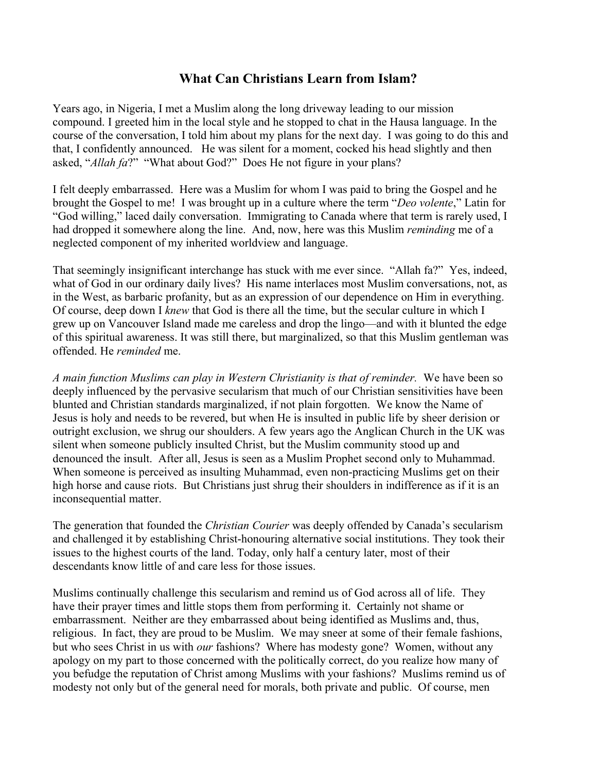## **What Can Christians Learn from Islam?**

Years ago, in Nigeria, I met a Muslim along the long driveway leading to our mission compound. I greeted him in the local style and he stopped to chat in the Hausa language. In the course of the conversation, I told him about my plans for the next day. I was going to do this and that, I confidently announced. He was silent for a moment, cocked his head slightly and then asked, "*Allah fa*?" "What about God?" Does He not figure in your plans?

I felt deeply embarrassed. Here was a Muslim for whom I was paid to bring the Gospel and he brought the Gospel to me! I was brought up in a culture where the term "*Deo volente*," Latin for "God willing," laced daily conversation. Immigrating to Canada where that term is rarely used, I had dropped it somewhere along the line. And, now, here was this Muslim *reminding* me of a neglected component of my inherited worldview and language.

That seemingly insignificant interchange has stuck with me ever since. "Allah fa?" Yes, indeed, what of God in our ordinary daily lives? His name interlaces most Muslim conversations, not, as in the West, as barbaric profanity, but as an expression of our dependence on Him in everything. Of course, deep down I *knew* that God is there all the time, but the secular culture in which I grew up on Vancouver Island made me careless and drop the lingo—and with it blunted the edge of this spiritual awareness. It was still there, but marginalized, so that this Muslim gentleman was offended. He *reminded* me.

*A main function Muslims can play in Western Christianity is that of reminder.* We have been so deeply influenced by the pervasive secularism that much of our Christian sensitivities have been blunted and Christian standards marginalized, if not plain forgotten. We know the Name of Jesus is holy and needs to be revered, but when He is insulted in public life by sheer derision or outright exclusion, we shrug our shoulders. A few years ago the Anglican Church in the UK was silent when someone publicly insulted Christ, but the Muslim community stood up and denounced the insult. After all, Jesus is seen as a Muslim Prophet second only to Muhammad. When someone is perceived as insulting Muhammad, even non-practicing Muslims get on their high horse and cause riots. But Christians just shrug their shoulders in indifference as if it is an inconsequential matter.

The generation that founded the *Christian Courier* was deeply offended by Canada's secularism and challenged it by establishing Christ-honouring alternative social institutions. They took their issues to the highest courts of the land. Today, only half a century later, most of their descendants know little of and care less for those issues.

Muslims continually challenge this secularism and remind us of God across all of life. They have their prayer times and little stops them from performing it. Certainly not shame or embarrassment. Neither are they embarrassed about being identified as Muslims and, thus, religious. In fact, they are proud to be Muslim. We may sneer at some of their female fashions, but who sees Christ in us with *our* fashions? Where has modesty gone? Women, without any apology on my part to those concerned with the politically correct, do you realize how many of you befudge the reputation of Christ among Muslims with your fashions? Muslims remind us of modesty not only but of the general need for morals, both private and public. Of course, men